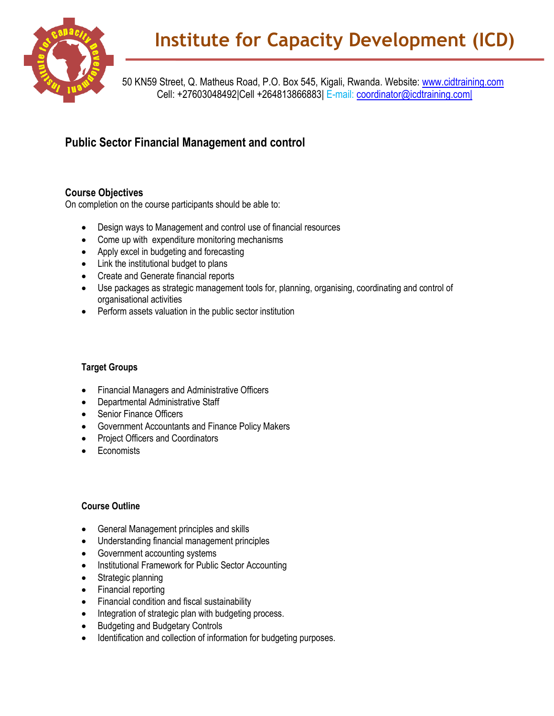

50 KN59 Street, Q. Matheus Road, P.O. Box 545, Kigali, Rwanda. Website: [www.cidtraining.com](http://www.cidtraining.com/) Cell: +27603048492|Cell +264813866883| E-mail: [coordinator@icdtraining.com|](mailto:coordinator@icdtraining.com%7C)

## **Public Sector Financial Management and control**

## **Course Objectives**

On completion on the course participants should be able to:

- Design ways to Management and control use of financial resources
- Come up with expenditure monitoring mechanisms
- Apply excel in budgeting and forecasting
- Link the institutional budget to plans
- Create and Generate financial reports
- Use packages as strategic management tools for, planning, organising, coordinating and control of organisational activities
- Perform assets valuation in the public sector institution

## **Target Groups**

- Financial Managers and Administrative Officers
- Departmental Administrative Staff
- Senior Finance Officers
- Government Accountants and Finance Policy Makers
- Project Officers and Coordinators
- **Economists**

## **Course Outline**

- General Management principles and skills
- Understanding financial management principles
- Government accounting systems
- Institutional Framework for Public Sector Accounting
- Strategic planning
- Financial reporting
- Financial condition and fiscal sustainability
- Integration of strategic plan with budgeting process.
- Budgeting and Budgetary Controls
- Identification and collection of information for budgeting purposes.